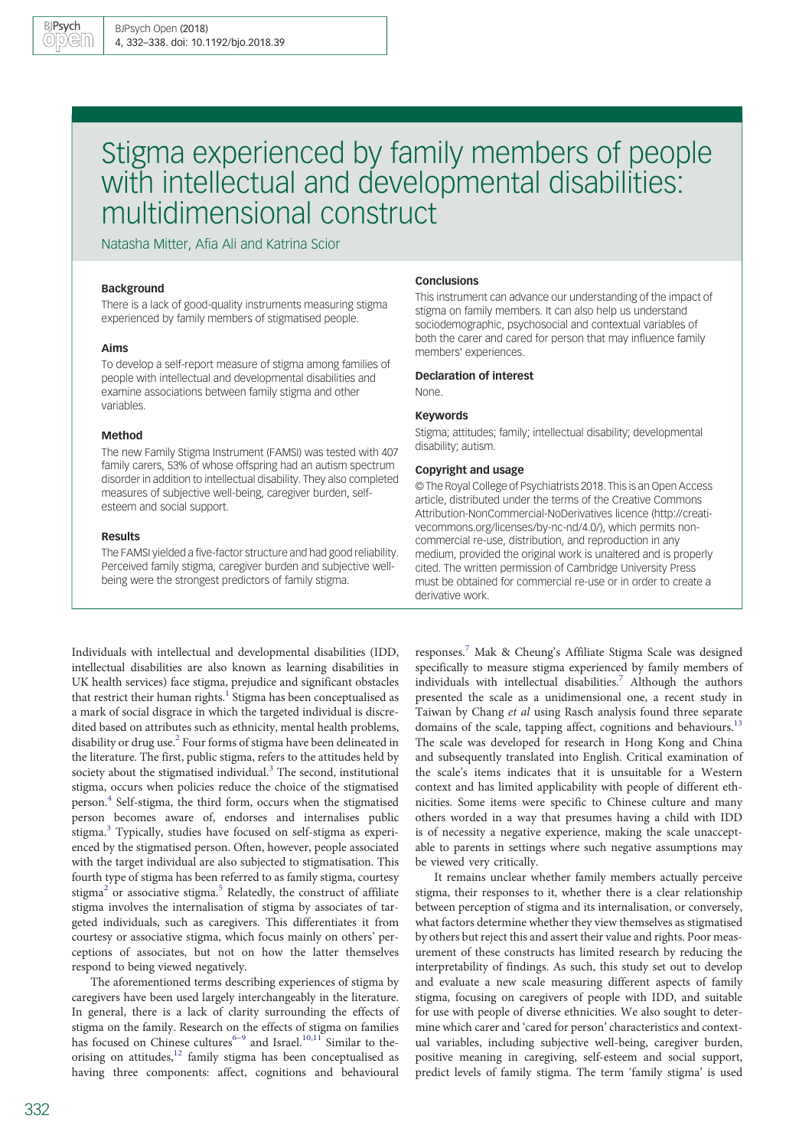# Stigma experienced by family members of people with intellectual and developmental disabilities: multidimensional construct

Natasha Mitter, Afia Ali and Katrina Scior

#### Background

There is a lack of good-quality instruments measuring stigma experienced by family members of stigmatised people.

## Aims

To develop a self-report measure of stigma among families of people with intellectual and developmental disabilities and examine associations between family stigma and other variables.

#### Method

The new Family Stigma Instrument (FAMSI) was tested with 407 family carers, 53% of whose offspring had an autism spectrum disorder in addition to intellectual disability. They also completed measures of subjective well-being, caregiver burden, selfesteem and social support.

#### Results

The FAMSI yielded a five-factor structure and had good reliability. Perceived family stigma, caregiver burden and subjective wellbeing were the strongest predictors of family stigma.

Individuals with intellectual and developmental disabilities (IDD, intellectual disabilities are also known as learning disabilities in UK health services) face stigma, prejudice and significant obstacles that restrict their human rights.<sup>1</sup> Stigma has been conceptualised as a mark of social disgrace in which the targeted individual is discredited based on attributes such as ethnicity, mental health problems, disability or drug use.<sup>[2](#page-4-0)</sup> Four forms of stigma have been delineated in the literature. The first, public stigma, refers to the attitudes held by society about the stigmatised individual.<sup>[3](#page-4-0)</sup> The second, institutional stigma, occurs when policies reduce the choice of the stigmatised person.[4](#page-4-0) Self-stigma, the third form, occurs when the stigmatised person becomes aware of, endorses and internalises public stigma.[3](#page-4-0) Typically, studies have focused on self-stigma as experienced by the stigmatised person. Often, however, people associated with the target individual are also subjected to stigmatisation. This fourth type of stigma has been referred to as family stigma, courtesy stigma<sup>[2](#page-4-0)</sup> or associative stigma.<sup>[5](#page-4-0)</sup> Relatedly, the construct of affiliate stigma involves the internalisation of stigma by associates of targeted individuals, such as caregivers. This differentiates it from courtesy or associative stigma, which focus mainly on others' perceptions of associates, but not on how the latter themselves respond to being viewed negatively.

The aforementioned terms describing experiences of stigma by caregivers have been used largely interchangeably in the literature. In general, there is a lack of clarity surrounding the effects of stigma on the family. Research on the effects of stigma on families has focused on Chinese cultures<sup>[6](#page-4-0)-[9](#page-5-0)</sup> and Israel.<sup>10,11</sup> Similar to theorising on attitudes, $12$  family stigma has been conceptualised as having three components: affect, cognitions and behavioural

#### Conclusions

This instrument can advance our understanding of the impact of stigma on family members. It can also help us understand sociodemographic, psychosocial and contextual variables of both the carer and cared for person that may influence family members' experiences.

#### Declaration of interest

None.

#### Keywords

Stigma; attitudes; family; intellectual disability; developmental disability; autism.

#### Copyright and usage

© The Royal College of Psychiatrists 2018. This is an Open Access article, distributed under the terms of the Creative Commons Attribution-NonCommercial-NoDerivatives licence (http://creativecommons.org/licenses/by-nc-nd/4.0/), which permits noncommercial re-use, distribution, and reproduction in any medium, provided the original work is unaltered and is properly cited. The written permission of Cambridge University Press must be obtained for commercial re-use or in order to create a derivative work.

responses.[7](#page-4-0) Mak & Cheung's Affiliate Stigma Scale was designed specifically to measure stigma experienced by family members of individuals with intellectual disabilities.<sup>[7](#page-4-0)</sup> Although the authors presented the scale as a unidimensional one, a recent study in Taiwan by Chang et al using Rasch analysis found three separate domains of the scale, tapping affect, cognitions and behaviours.<sup>13</sup> The scale was developed for research in Hong Kong and China and subsequently translated into English. Critical examination of the scale's items indicates that it is unsuitable for a Western context and has limited applicability with people of different ethnicities. Some items were specific to Chinese culture and many others worded in a way that presumes having a child with IDD is of necessity a negative experience, making the scale unacceptable to parents in settings where such negative assumptions may be viewed very critically.

It remains unclear whether family members actually perceive stigma, their responses to it, whether there is a clear relationship between perception of stigma and its internalisation, or conversely, what factors determine whether they view themselves as stigmatised by others but reject this and assert their value and rights. Poor measurement of these constructs has limited research by reducing the interpretability of findings. As such, this study set out to develop and evaluate a new scale measuring different aspects of family stigma, focusing on caregivers of people with IDD, and suitable for use with people of diverse ethnicities. We also sought to determine which carer and 'cared for person' characteristics and contextual variables, including subjective well-being, caregiver burden, positive meaning in caregiving, self-esteem and social support, predict levels of family stigma. The term 'family stigma' is used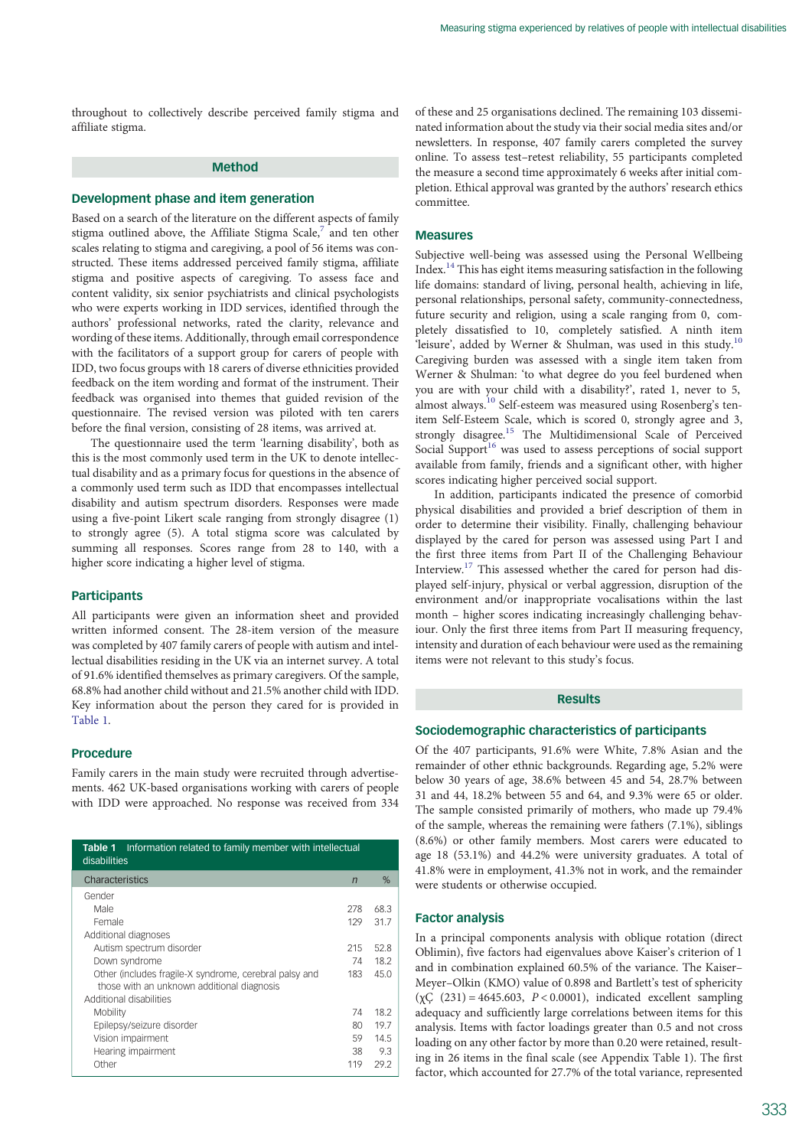throughout to collectively describe perceived family stigma and affiliate stigma.

# Method

## Development phase and item generation

Based on a search of the literature on the different aspects of family stigma outlined above, the Affiliate Stigma Scale, $^7$  $^7$  and ten other scales relating to stigma and caregiving, a pool of 56 items was constructed. These items addressed perceived family stigma, affiliate stigma and positive aspects of caregiving. To assess face and content validity, six senior psychiatrists and clinical psychologists who were experts working in IDD services, identified through the authors' professional networks, rated the clarity, relevance and wording of these items. Additionally, through email correspondence with the facilitators of a support group for carers of people with IDD, two focus groups with 18 carers of diverse ethnicities provided feedback on the item wording and format of the instrument. Their feedback was organised into themes that guided revision of the questionnaire. The revised version was piloted with ten carers before the final version, consisting of 28 items, was arrived at.

The questionnaire used the term 'learning disability', both as this is the most commonly used term in the UK to denote intellectual disability and as a primary focus for questions in the absence of a commonly used term such as IDD that encompasses intellectual disability and autism spectrum disorders. Responses were made using a five-point Likert scale ranging from strongly disagree (1) to strongly agree (5). A total stigma score was calculated by summing all responses. Scores range from 28 to 140, with a higher score indicating a higher level of stigma.

## **Participants**

All participants were given an information sheet and provided written informed consent. The 28-item version of the measure was completed by 407 family carers of people with autism and intellectual disabilities residing in the UK via an internet survey. A total of 91.6% identified themselves as primary caregivers. Of the sample, 68.8% had another child without and 21.5% another child with IDD. Key information about the person they cared for is provided in Table 1.

## Procedure

Family carers in the main study were recruited through advertisements. 462 UK-based organisations working with carers of people with IDD were approached. No response was received from 334

| <b>Table 1</b> Information related to family member with intellectual<br>disabilities |                |      |  |  |  |  |  |  |  |  |
|---------------------------------------------------------------------------------------|----------------|------|--|--|--|--|--|--|--|--|
| Characteristics                                                                       | $\overline{n}$ | %    |  |  |  |  |  |  |  |  |
| Gender                                                                                |                |      |  |  |  |  |  |  |  |  |
| Male                                                                                  | 278            | 68.3 |  |  |  |  |  |  |  |  |
| Female                                                                                | 129            | 31.7 |  |  |  |  |  |  |  |  |
| Additional diagnoses                                                                  |                |      |  |  |  |  |  |  |  |  |
| Autism spectrum disorder                                                              | 215            | 52.8 |  |  |  |  |  |  |  |  |
| Down syndrome                                                                         | 74             | 18.2 |  |  |  |  |  |  |  |  |
| Other (includes fragile-X syndrome, cerebral palsy and                                | 183            | 45.0 |  |  |  |  |  |  |  |  |
| those with an unknown additional diagnosis                                            |                |      |  |  |  |  |  |  |  |  |
| Additional disabilities                                                               |                |      |  |  |  |  |  |  |  |  |
| Mobility                                                                              | 74             | 18.2 |  |  |  |  |  |  |  |  |
| Epilepsy/seizure disorder                                                             | 80             | 19.7 |  |  |  |  |  |  |  |  |
| Vision impairment                                                                     | 59             | 14.5 |  |  |  |  |  |  |  |  |
| Hearing impairment                                                                    | 38             | 9.3  |  |  |  |  |  |  |  |  |
| Other                                                                                 | 119            | 29.2 |  |  |  |  |  |  |  |  |

of these and 25 organisations declined. The remaining 103 disseminated information about the study via their social media sites and/or newsletters. In response, 407 family carers completed the survey online. To assess test–retest reliability, 55 participants completed the measure a second time approximately 6 weeks after initial completion. Ethical approval was granted by the authors' research ethics committee.

# Measures

Subjective well-being was assessed using the Personal Wellbeing Index.[14](#page-5-0) This has eight items measuring satisfaction in the following life domains: standard of living, personal health, achieving in life, personal relationships, personal safety, community-connectedness, future security and religion, using a scale ranging from 0, completely dissatisfied to 10, completely satisfied. A ninth item 'leisure', added by Werner & Shulman, was used in this study.<sup>[10](#page-5-0)</sup> Caregiving burden was assessed with a single item taken from Werner & Shulman: 'to what degree do you feel burdened when you are with your child with a disability?', rated 1, never to 5, almost always.<sup>[10](#page-5-0)</sup> Self-esteem was measured using Rosenberg's tenitem Self-Esteem Scale, which is scored 0, strongly agree and 3, strongly disagree.<sup>[15](#page-5-0)</sup> The Multidimensional Scale of Perceived Social Support<sup>[16](#page-5-0)</sup> was used to assess perceptions of social support available from family, friends and a significant other, with higher scores indicating higher perceived social support.

In addition, participants indicated the presence of comorbid physical disabilities and provided a brief description of them in order to determine their visibility. Finally, challenging behaviour displayed by the cared for person was assessed using Part I and the first three items from Part II of the Challenging Behaviour Interview.<sup>[17](#page-5-0)</sup> This assessed whether the cared for person had displayed self-injury, physical or verbal aggression, disruption of the environment and/or inappropriate vocalisations within the last month – higher scores indicating increasingly challenging behaviour. Only the first three items from Part II measuring frequency, intensity and duration of each behaviour were used as the remaining items were not relevant to this study's focus.

#### Results

#### Sociodemographic characteristics of participants

Of the 407 participants, 91.6% were White, 7.8% Asian and the remainder of other ethnic backgrounds. Regarding age, 5.2% were below 30 years of age, 38.6% between 45 and 54, 28.7% between 31 and 44, 18.2% between 55 and 64, and 9.3% were 65 or older. The sample consisted primarily of mothers, who made up 79.4% of the sample, whereas the remaining were fathers (7.1%), siblings (8.6%) or other family members. Most carers were educated to age 18 (53.1%) and 44.2% were university graduates. A total of 41.8% were in employment, 41.3% not in work, and the remainder were students or otherwise occupied.

## Factor analysis

In a principal components analysis with oblique rotation (direct Oblimin), five factors had eigenvalues above Kaiser's criterion of 1 and in combination explained 60.5% of the variance. The Kaiser– Meyer–Olkin (KMO) value of 0.898 and Bartlett's test of sphericity  $(\gamma C \ (231) = 4645.603, P < 0.0001)$ , indicated excellent sampling adequacy and sufficiently large correlations between items for this analysis. Items with factor loadings greater than 0.5 and not cross loading on any other factor by more than 0.20 were retained, resulting in 26 items in the final scale (see Appendix Table 1). The first factor, which accounted for 27.7% of the total variance, represented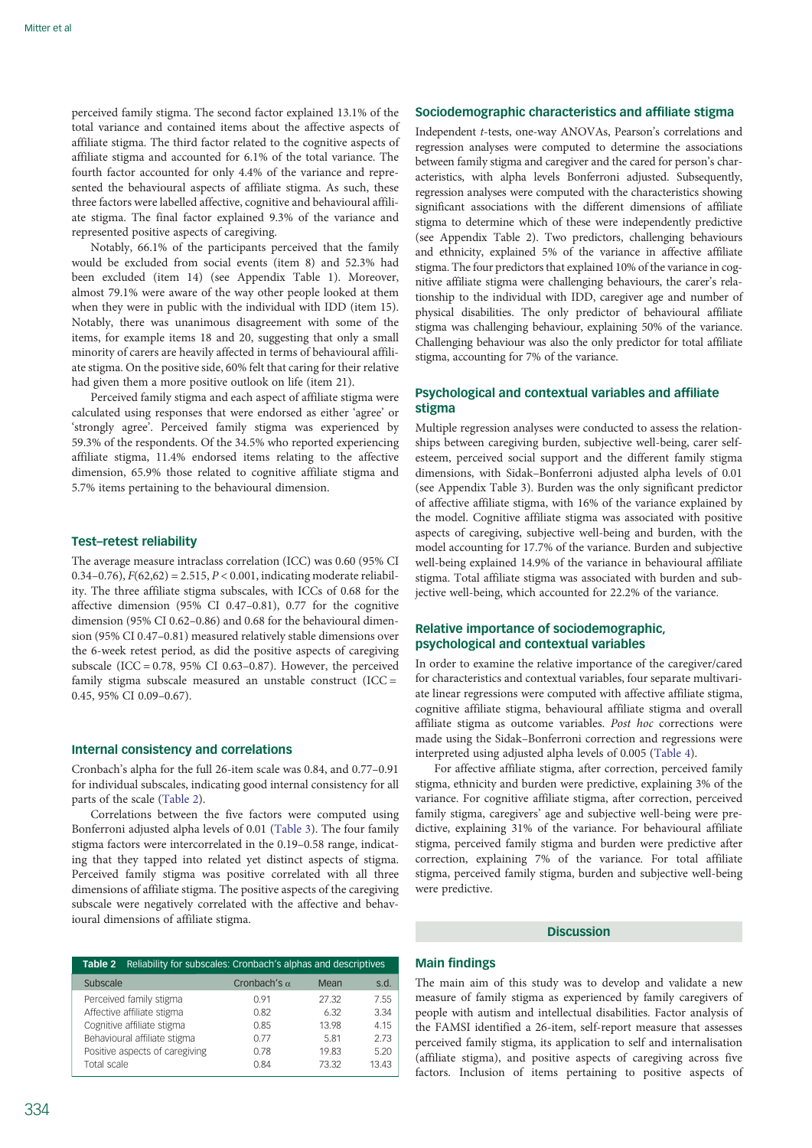perceived family stigma. The second factor explained 13.1% of the total variance and contained items about the affective aspects of affiliate stigma. The third factor related to the cognitive aspects of affiliate stigma and accounted for 6.1% of the total variance. The fourth factor accounted for only 4.4% of the variance and represented the behavioural aspects of affiliate stigma. As such, these three factors were labelled affective, cognitive and behavioural affiliate stigma. The final factor explained 9.3% of the variance and represented positive aspects of caregiving.

Notably, 66.1% of the participants perceived that the family would be excluded from social events (item 8) and 52.3% had been excluded (item 14) (see Appendix Table 1). Moreover, almost 79.1% were aware of the way other people looked at them when they were in public with the individual with IDD (item 15). Notably, there was unanimous disagreement with some of the items, for example items 18 and 20, suggesting that only a small minority of carers are heavily affected in terms of behavioural affiliate stigma. On the positive side, 60% felt that caring for their relative had given them a more positive outlook on life (item 21).

Perceived family stigma and each aspect of affiliate stigma were calculated using responses that were endorsed as either 'agree' or 'strongly agree'. Perceived family stigma was experienced by 59.3% of the respondents. Of the 34.5% who reported experiencing affiliate stigma, 11.4% endorsed items relating to the affective dimension, 65.9% those related to cognitive affiliate stigma and 5.7% items pertaining to the behavioural dimension.

#### Test–retest reliability

The average measure intraclass correlation (ICC) was 0.60 (95% CI 0.34–0.76),  $F(62,62) = 2.515, P < 0.001$ , indicating moderate reliability. The three affiliate stigma subscales, with ICCs of 0.68 for the affective dimension (95% CI 0.47–0.81), 0.77 for the cognitive dimension (95% CI 0.62–0.86) and 0.68 for the behavioural dimension (95% CI 0.47–0.81) measured relatively stable dimensions over the 6-week retest period, as did the positive aspects of caregiving subscale (ICC =  $0.78$ ,  $95\%$  CI 0.63–0.87). However, the perceived family stigma subscale measured an unstable construct (ICC = 0.45, 95% CI 0.09–0.67).

#### Internal consistency and correlations

Cronbach's alpha for the full 26-item scale was 0.84, and 0.77–0.91 for individual subscales, indicating good internal consistency for all parts of the scale (Table 2).

Correlations between the five factors were computed using Bonferroni adjusted alpha levels of 0.01 [\(Table 3](#page-3-0)). The four family stigma factors were intercorrelated in the 0.19–0.58 range, indicating that they tapped into related yet distinct aspects of stigma. Perceived family stigma was positive correlated with all three dimensions of affiliate stigma. The positive aspects of the caregiving subscale were negatively correlated with the affective and behavioural dimensions of affiliate stigma.

| Reliability for subscales: Cronbach's alphas and descriptives<br>Table 2 |                     |       |      |
|--------------------------------------------------------------------------|---------------------|-------|------|
| Subscale                                                                 | Cronbach's $\alpha$ | Mean  | s.d. |
| Perceived family stigma                                                  | O 91                | 27.32 | 7.55 |
| Affective affiliate stigma                                               | 0.82                | 6.32  | 3.34 |
| Cognitive affiliate stigma                                               | 0.85                | 13.98 | 4 15 |
| Behavioural affiliate stigma                                             | 077                 | 5.81  | 2.73 |
| Positive aspects of caregiving                                           | 0.78                | 19.83 | 5.20 |
| Total scale                                                              | 0.84                | 73.32 | 1343 |

# Sociodemographic characteristics and affiliate stigma

Independent t-tests, one-way ANOVAs, Pearson's correlations and regression analyses were computed to determine the associations between family stigma and caregiver and the cared for person's characteristics, with alpha levels Bonferroni adjusted. Subsequently, regression analyses were computed with the characteristics showing significant associations with the different dimensions of affiliate stigma to determine which of these were independently predictive (see Appendix Table 2). Two predictors, challenging behaviours and ethnicity, explained 5% of the variance in affective affiliate stigma. The four predictors that explained 10% of the variance in cognitive affiliate stigma were challenging behaviours, the carer's relationship to the individual with IDD, caregiver age and number of physical disabilities. The only predictor of behavioural affiliate stigma was challenging behaviour, explaining 50% of the variance. Challenging behaviour was also the only predictor for total affiliate stigma, accounting for 7% of the variance.

# Psychological and contextual variables and affiliate stigma

Multiple regression analyses were conducted to assess the relationships between caregiving burden, subjective well-being, carer selfesteem, perceived social support and the different family stigma dimensions, with Sidak–Bonferroni adjusted alpha levels of 0.01 (see Appendix Table 3). Burden was the only significant predictor of affective affiliate stigma, with 16% of the variance explained by the model. Cognitive affiliate stigma was associated with positive aspects of caregiving, subjective well-being and burden, with the model accounting for 17.7% of the variance. Burden and subjective well-being explained 14.9% of the variance in behavioural affiliate stigma. Total affiliate stigma was associated with burden and subjective well-being, which accounted for 22.2% of the variance.

## Relative importance of sociodemographic, psychological and contextual variables

In order to examine the relative importance of the caregiver/cared for characteristics and contextual variables, four separate multivariate linear regressions were computed with affective affiliate stigma, cognitive affiliate stigma, behavioural affiliate stigma and overall affiliate stigma as outcome variables. Post hoc corrections were made using the Sidak–Bonferroni correction and regressions were interpreted using adjusted alpha levels of 0.005 ([Table 4](#page-3-0)).

For affective affiliate stigma, after correction, perceived family stigma, ethnicity and burden were predictive, explaining 3% of the variance. For cognitive affiliate stigma, after correction, perceived family stigma, caregivers' age and subjective well-being were predictive, explaining 31% of the variance. For behavioural affiliate stigma, perceived family stigma and burden were predictive after correction, explaining 7% of the variance. For total affiliate stigma, perceived family stigma, burden and subjective well-being were predictive.

# **Discussion**

# Main findings

The main aim of this study was to develop and validate a new measure of family stigma as experienced by family caregivers of people with autism and intellectual disabilities. Factor analysis of the FAMSI identified a 26-item, self-report measure that assesses perceived family stigma, its application to self and internalisation (affiliate stigma), and positive aspects of caregiving across five factors. Inclusion of items pertaining to positive aspects of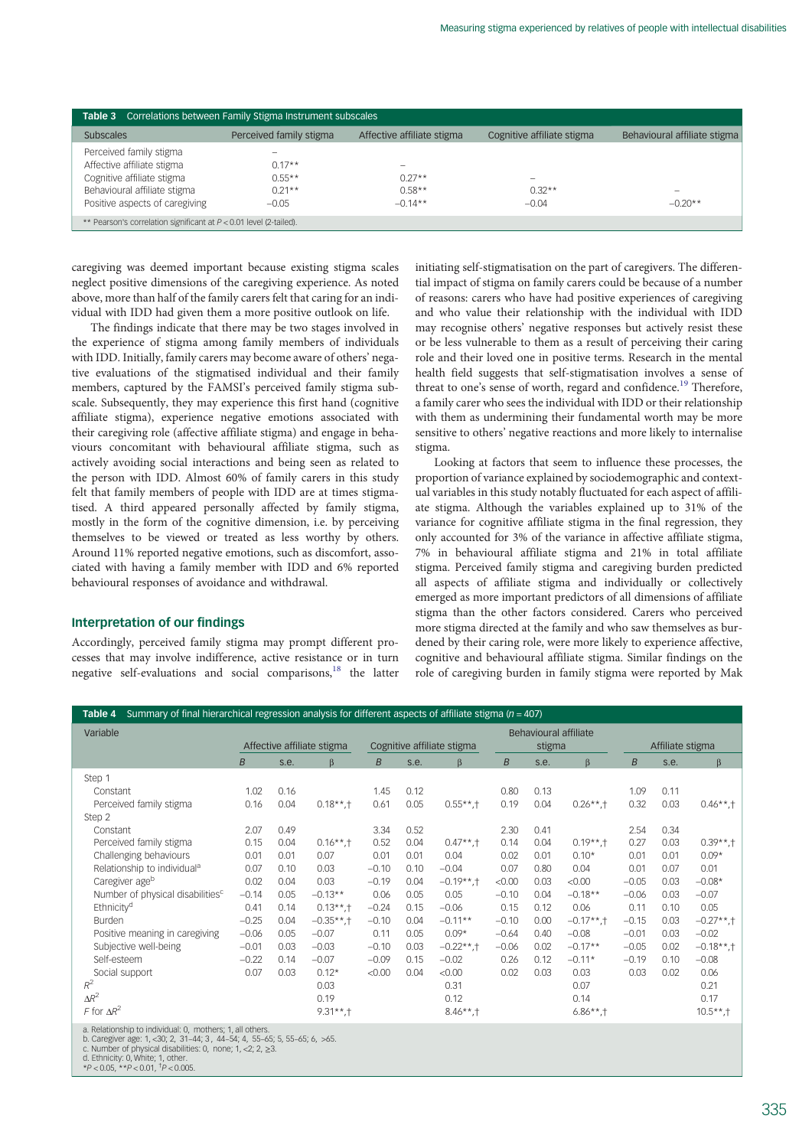<span id="page-3-0"></span>

| Correlations between Family Stigma Instrument subscales<br>Table 3   |                         |                            |                            |                              |  |  |  |  |  |  |  |
|----------------------------------------------------------------------|-------------------------|----------------------------|----------------------------|------------------------------|--|--|--|--|--|--|--|
| <b>Subscales</b>                                                     | Perceived family stigma | Affective affiliate stigma | Cognitive affiliate stigma | Behavioural affiliate stigma |  |  |  |  |  |  |  |
| Perceived family stigma                                              |                         |                            |                            |                              |  |  |  |  |  |  |  |
| Affective affiliate stigma                                           | $0.17**$                |                            |                            |                              |  |  |  |  |  |  |  |
| Cognitive affiliate stigma                                           | $0.55***$               | $0.27**$                   | -                          |                              |  |  |  |  |  |  |  |
| Behavioural affiliate stigma                                         | $0.21**$                | $0.58**$                   | $0.32**$                   | $\overline{\phantom{0}}$     |  |  |  |  |  |  |  |
| Positive aspects of caregiving                                       | $-0.05$                 | $-0.14**$                  | $-0.04$                    | $-0.20**$                    |  |  |  |  |  |  |  |
| ** Pearson's correlation significant at $P < 0.01$ level (2-tailed). |                         |                            |                            |                              |  |  |  |  |  |  |  |

caregiving was deemed important because existing stigma scales neglect positive dimensions of the caregiving experience. As noted above, more than half of the family carers felt that caring for an individual with IDD had given them a more positive outlook on life.

The findings indicate that there may be two stages involved in the experience of stigma among family members of individuals with IDD. Initially, family carers may become aware of others' negative evaluations of the stigmatised individual and their family members, captured by the FAMSI's perceived family stigma subscale. Subsequently, they may experience this first hand (cognitive affiliate stigma), experience negative emotions associated with their caregiving role (affective affiliate stigma) and engage in behaviours concomitant with behavioural affiliate stigma, such as actively avoiding social interactions and being seen as related to the person with IDD. Almost 60% of family carers in this study felt that family members of people with IDD are at times stigmatised. A third appeared personally affected by family stigma, mostly in the form of the cognitive dimension, i.e. by perceiving themselves to be viewed or treated as less worthy by others. Around 11% reported negative emotions, such as discomfort, associated with having a family member with IDD and 6% reported behavioural responses of avoidance and withdrawal.

## Interpretation of our findings

Accordingly, perceived family stigma may prompt different processes that may involve indifference, active resistance or in turn negative self-evaluations and social comparisons, $18$  the latter initiating self-stigmatisation on the part of caregivers. The differential impact of stigma on family carers could be because of a number of reasons: carers who have had positive experiences of caregiving and who value their relationship with the individual with IDD may recognise others' negative responses but actively resist these or be less vulnerable to them as a result of perceiving their caring role and their loved one in positive terms. Research in the mental health field suggests that self-stigmatisation involves a sense of threat to one's sense of worth, regard and confidence.<sup>[19](#page-5-0)</sup> Therefore, a family carer who sees the individual with IDD or their relationship with them as undermining their fundamental worth may be more sensitive to others' negative reactions and more likely to internalise stigma.

Looking at factors that seem to influence these processes, the proportion of variance explained by sociodemographic and contextual variables in this study notably fluctuated for each aspect of affiliate stigma. Although the variables explained up to 31% of the variance for cognitive affiliate stigma in the final regression, they only accounted for 3% of the variance in affective affiliate stigma, 7% in behavioural affiliate stigma and 21% in total affiliate stigma. Perceived family stigma and caregiving burden predicted all aspects of affiliate stigma and individually or collectively emerged as more important predictors of all dimensions of affiliate stigma than the other factors considered. Carers who perceived more stigma directed at the family and who saw themselves as burdened by their caring role, were more likely to experience affective, cognitive and behavioural affiliate stigma. Similar findings on the role of caregiving burden in family stigma were reported by Mak

| Summary of final hierarchical regression analysis for different aspects of affiliate stigma ( $n = 407$ )<br>Table 4 |         |      |               |         |                            |               |         |      |                                 |         |      |                  |  |  |  |
|----------------------------------------------------------------------------------------------------------------------|---------|------|---------------|---------|----------------------------|---------------|---------|------|---------------------------------|---------|------|------------------|--|--|--|
| Variable<br>Affective affiliate stigma                                                                               |         |      |               |         | Cognitive affiliate stigma |               |         |      | Behavioural affiliate<br>stigma |         |      | Affiliate stigma |  |  |  |
|                                                                                                                      | B       | s.e. | $\beta$       | B       | s.e.                       | $\beta$       | B       | s.e. | $\beta$                         | B       | s.e. | $\beta$          |  |  |  |
| Step 1                                                                                                               |         |      |               |         |                            |               |         |      |                                 |         |      |                  |  |  |  |
| Constant                                                                                                             | 1.02    | 0.16 |               | 1.45    | 0.12                       |               | 0.80    | 0.13 |                                 | 1.09    | 0.11 |                  |  |  |  |
| Perceived family stigma                                                                                              | 0.16    | 0.04 | $0.18**.†$    | 0.61    | 0.05                       | $0.55***$ ;+  | 0.19    | 0.04 | $0.26$ **, †                    | 0.32    | 0.03 | $0.46$ **.+      |  |  |  |
| Step 2                                                                                                               |         |      |               |         |                            |               |         |      |                                 |         |      |                  |  |  |  |
| Constant                                                                                                             | 2.07    | 0.49 |               | 3.34    | 0.52                       |               | 2.30    | 0.41 |                                 | 2.54    | 0.34 |                  |  |  |  |
| Perceived family stigma                                                                                              | 0.15    | 0.04 | $0.16***$ ;+  | 0.52    | 0.04                       | $0.47**$ ; †  | 0.14    | 0.04 | $0.19**$ ; †                    | 0.27    | 0.03 | $0.39**$ ; †     |  |  |  |
| Challenging behaviours                                                                                               | 0.01    | 0.01 | 0.07          | 0.01    | 0.01                       | 0.04          | 0.02    | 0.01 | $0.10*$                         | 0.01    | 0.01 | $0.09*$          |  |  |  |
| Relationship to individual <sup>a</sup>                                                                              | 0.07    | 0.10 | 0.03          | $-0.10$ | 0.10                       | $-0.04$       | 0.07    | 0.80 | 0.04                            | 0.01    | 0.07 | 0.01             |  |  |  |
| Caregiver age <sup>b</sup>                                                                                           | 0.02    | 0.04 | 0.03          | $-0.19$ | 0.04                       | $-0.19**$ ; † | < 0.00  | 0.03 | < 0.00                          | $-0.05$ | 0.03 | $-0.08*$         |  |  |  |
| Number of physical disabilities <sup>c</sup>                                                                         | $-0.14$ | 0.05 | $-0.13**$     | 0.06    | 0.05                       | 0.05          | $-0.10$ | 0.04 | $-0.18**$                       | $-0.06$ | 0.03 | $-0.07$          |  |  |  |
| Ethnicity <sup>d</sup>                                                                                               | 0.41    | 0.14 | $0.13**$ , †  | $-0.24$ | 0.15                       | $-0.06$       | 0.15    | 0.12 | 0.06                            | 0.11    | 0.10 | 0.05             |  |  |  |
| <b>Burden</b>                                                                                                        | $-0.25$ | 0.04 | $-0.35**$ ; † | $-0.10$ | 0.04                       | $-0.11**$     | $-0.10$ | 0.00 | $-0.17**$ ; +                   | $-0.15$ | 0.03 | $-0.27**$ ; †    |  |  |  |
| Positive meaning in caregiving                                                                                       | $-0.06$ | 0.05 | $-0.07$       | 0.11    | 0.05                       | $0.09*$       | $-0.64$ | 0.40 | $-0.08$                         | $-0.01$ | 0.03 | $-0.02$          |  |  |  |
| Subjective well-being                                                                                                | $-0.01$ | 0.03 | $-0.03$       | $-0.10$ | 0.03                       | $-0.22**$ ; † | $-0.06$ | 0.02 | $-0.17**$                       | $-0.05$ | 0.02 | $-0.18**$ ; †    |  |  |  |
| Self-esteem                                                                                                          | $-0.22$ | 0.14 | $-0.07$       | $-0.09$ | 0.15                       | $-0.02$       | 0.26    | 0.12 | $-0.11*$                        | $-0.19$ | 0.10 | $-0.08$          |  |  |  |
| Social support                                                                                                       | 0.07    | 0.03 | $0.12*$       | < 0.00  | 0.04                       | < 0.00        | 0.02    | 0.03 | 0.03                            | 0.03    | 0.02 | 0.06             |  |  |  |
| $R^2$                                                                                                                |         |      | 0.03          |         |                            | 0.31          |         |      | 0.07                            |         |      | 0.21             |  |  |  |
| $\Delta R^2$                                                                                                         |         |      | 0.19          |         |                            | 0.12          |         |      | 0.14                            |         |      | 0.17             |  |  |  |
| F for $\Delta R^2$                                                                                                   |         |      | $9.31***$ , † |         |                            | $8.46**$ , †  |         |      | $6.86**$ ;†                     |         |      | $10.5**.†$       |  |  |  |

a. Relationship to individual: 0, mothers; 1, all others.<br>b. Caregiver age: 1, ⊲30; 2, 31–44; 3, 44–54; 4, 55–65; 5, 55–65; 6, >65.<br>c. Number of physical disabilities: 0, none; 1, <2; 2, ≥3.

d. Ethnicity: 0, White; 1, other. \*P < 0.05, \*\*P < 0.01, † P < 0.005.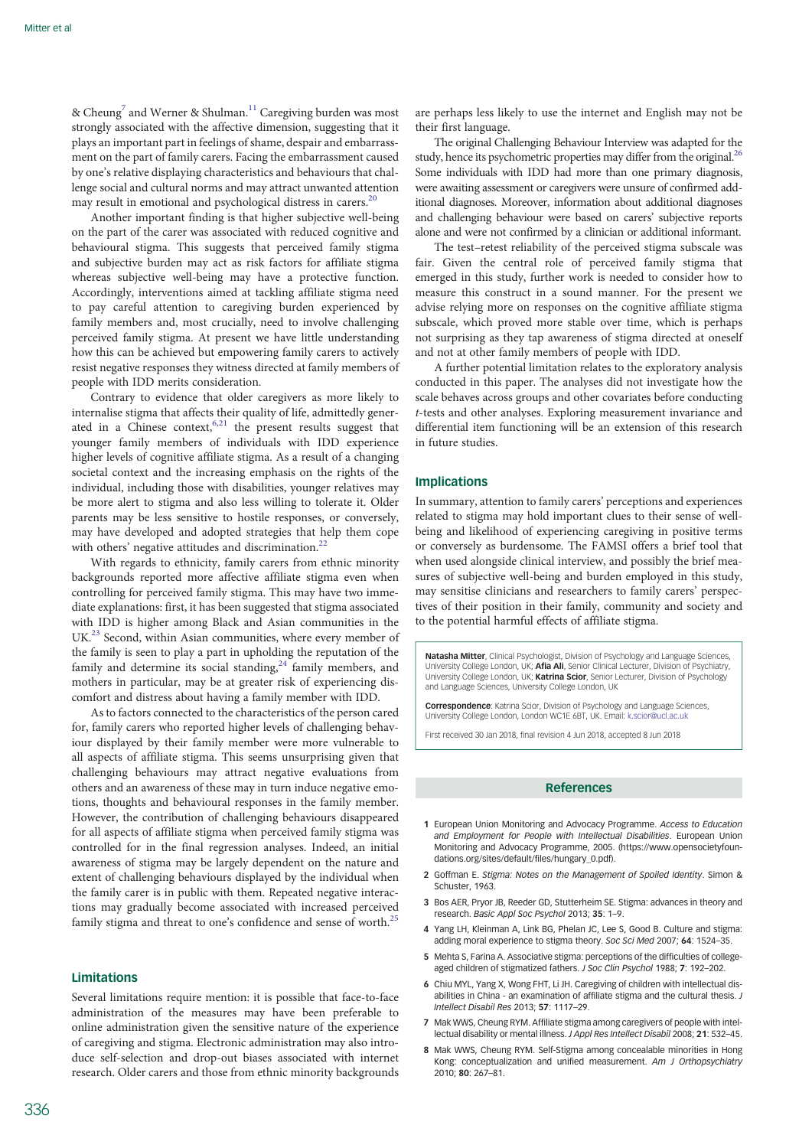<span id="page-4-0"></span>& Cheung<sup>7</sup> and Werner & Shulman.<sup>[11](#page-5-0)</sup> Caregiving burden was most strongly associated with the affective dimension, suggesting that it plays an important part in feelings of shame, despair and embarrassment on the part of family carers. Facing the embarrassment caused by one's relative displaying characteristics and behaviours that challenge social and cultural norms and may attract unwanted attention may result in emotional and psychological distress in carers.<sup>20</sup>

Another important finding is that higher subjective well-being on the part of the carer was associated with reduced cognitive and behavioural stigma. This suggests that perceived family stigma and subjective burden may act as risk factors for affiliate stigma whereas subjective well-being may have a protective function. Accordingly, interventions aimed at tackling affiliate stigma need to pay careful attention to caregiving burden experienced by family members and, most crucially, need to involve challenging perceived family stigma. At present we have little understanding how this can be achieved but empowering family carers to actively resist negative responses they witness directed at family members of people with IDD merits consideration.

Contrary to evidence that older caregivers as more likely to internalise stigma that affects their quality of life, admittedly generated in a Chinese context,  $6,21$  $6,21$  the present results suggest that younger family members of individuals with IDD experience higher levels of cognitive affiliate stigma. As a result of a changing societal context and the increasing emphasis on the rights of the individual, including those with disabilities, younger relatives may be more alert to stigma and also less willing to tolerate it. Older parents may be less sensitive to hostile responses, or conversely, may have developed and adopted strategies that help them cope with others' negative attitudes and discrimination.<sup>[22](#page-5-0)</sup>

With regards to ethnicity, family carers from ethnic minority backgrounds reported more affective affiliate stigma even when controlling for perceived family stigma. This may have two immediate explanations: first, it has been suggested that stigma associated with IDD is higher among Black and Asian communities in the UK.<sup>23</sup> Second, within Asian communities, where every member of the family is seen to play a part in upholding the reputation of the family and determine its social standing, $24$  family members, and mothers in particular, may be at greater risk of experiencing discomfort and distress about having a family member with IDD.

As to factors connected to the characteristics of the person cared for, family carers who reported higher levels of challenging behaviour displayed by their family member were more vulnerable to all aspects of affiliate stigma. This seems unsurprising given that challenging behaviours may attract negative evaluations from others and an awareness of these may in turn induce negative emotions, thoughts and behavioural responses in the family member. However, the contribution of challenging behaviours disappeared for all aspects of affiliate stigma when perceived family stigma was controlled for in the final regression analyses. Indeed, an initial awareness of stigma may be largely dependent on the nature and extent of challenging behaviours displayed by the individual when the family carer is in public with them. Repeated negative interactions may gradually become associated with increased perceived family stigma and threat to one's confidence and sense of worth.<sup>[25](#page-5-0)</sup>

# **Limitations**

Several limitations require mention: it is possible that face-to-face administration of the measures may have been preferable to online administration given the sensitive nature of the experience of caregiving and stigma. Electronic administration may also introduce self-selection and drop-out biases associated with internet research. Older carers and those from ethnic minority backgrounds are perhaps less likely to use the internet and English may not be their first language.

The original Challenging Behaviour Interview was adapted for the study, hence its psychometric properties may differ from the original.<sup>26</sup> Some individuals with IDD had more than one primary diagnosis, were awaiting assessment or caregivers were unsure of confirmed additional diagnoses. Moreover, information about additional diagnoses and challenging behaviour were based on carers' subjective reports alone and were not confirmed by a clinician or additional informant.

The test–retest reliability of the perceived stigma subscale was fair. Given the central role of perceived family stigma that emerged in this study, further work is needed to consider how to measure this construct in a sound manner. For the present we advise relying more on responses on the cognitive affiliate stigma subscale, which proved more stable over time, which is perhaps not surprising as they tap awareness of stigma directed at oneself and not at other family members of people with IDD.

A further potential limitation relates to the exploratory analysis conducted in this paper. The analyses did not investigate how the scale behaves across groups and other covariates before conducting t-tests and other analyses. Exploring measurement invariance and differential item functioning will be an extension of this research in future studies.

## Implications

In summary, attention to family carers' perceptions and experiences related to stigma may hold important clues to their sense of wellbeing and likelihood of experiencing caregiving in positive terms or conversely as burdensome. The FAMSI offers a brief tool that when used alongside clinical interview, and possibly the brief measures of subjective well-being and burden employed in this study, may sensitise clinicians and researchers to family carers' perspectives of their position in their family, community and society and to the potential harmful effects of affiliate stigma.

Natasha Mitter, Clinical Psychologist, Division of Psychology and Language Sciences, University College London, UK; Afia Ali, Senior Clinical Lecturer, Division of Psychiatry, University College London, UK; Katrina Scior, Senior Lecturer, Division of Psychology and Language Sciences, University College London, UK

Correspondence: Katrina Scior, Division of Psychology and Language Sciences, University College London, London WC1E 6BT, UK. Email: [k.scior@ucl.ac.uk](mailto:k.scior@ucl.ac.uk)

First received 30 Jan 2018, final revision 4 Jun 2018, accepted 8 Jun 2018

## References

- 1 European Union Monitoring and Advocacy Programme. Access to Education and Employment for People with Intellectual Disabilities. European Union Monitoring and Advocacy Programme, 2005. (https://www.opensocietyfoundations.org/sites/default/files/hungary\_0.pdf).
- 2 Goffman E. Stigma: Notes on the Management of Spoiled Identity. Simon & Schuster, 1963.
- 3 Bos AER, Pryor JB, Reeder GD, Stutterheim SE. Stigma: advances in theory and research. Basic Appl Soc Psychol 2013; 35: 1–9.
- 4 Yang LH, Kleinman A, Link BG, Phelan JC, Lee S, Good B. Culture and stigma: adding moral experience to stigma theory. Soc Sci Med 2007; 64: 1524-35
- 5 Mehta S, Farina A. Associative stigma: perceptions of the difficulties of collegeaged children of stigmatized fathers. J Soc Clin Psychol 1988; 7: 192–202.
- 6 Chiu MYL, Yang X, Wong FHT, Li JH. Caregiving of children with intellectual disabilities in China - an examination of affiliate stigma and the cultural thesis. J Intellect Disabil Res 2013; 57: 1117–29.
- 7 Mak WWS, Cheung RYM. Affiliate stigma among caregivers of people with intellectual disability or mental illness. J Appl Res Intellect Disabil 2008; 21: 532–45.
- 8 Mak WWS, Cheung RYM. Self-Stigma among concealable minorities in Hong Kong: conceptualization and unified measurement. Am J Orthopsychiatry 2010; 80: 267–81.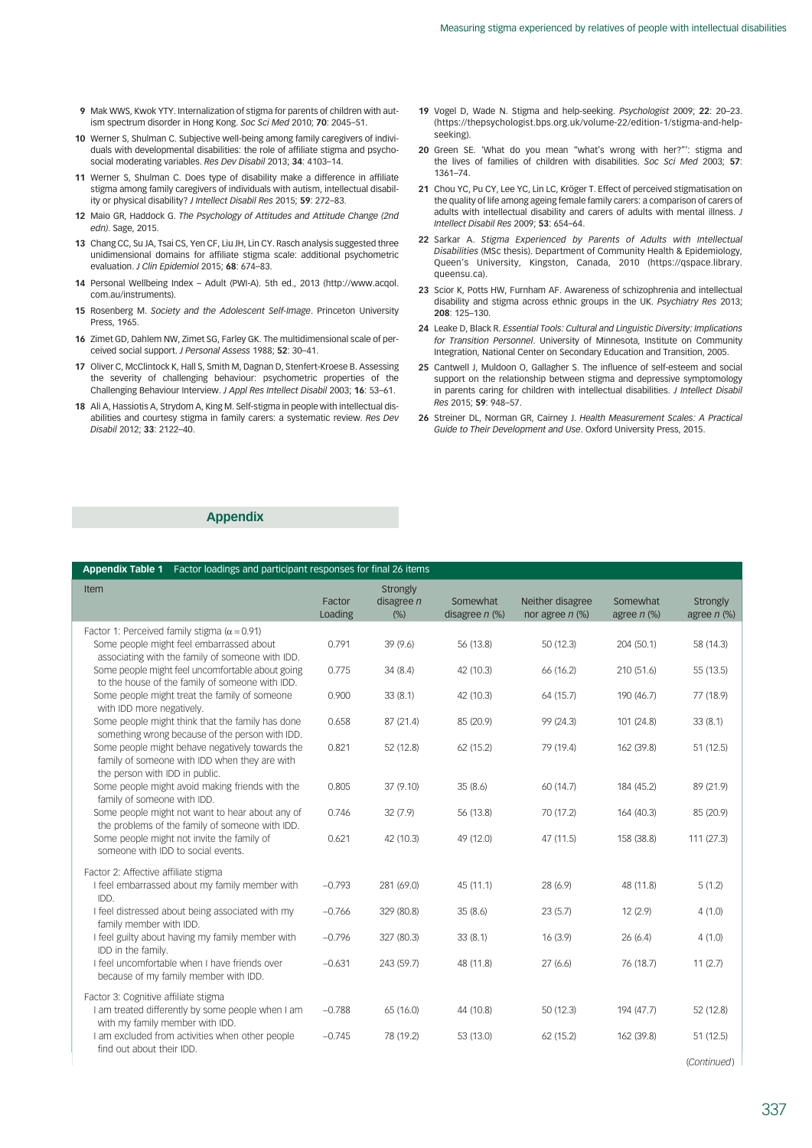- <span id="page-5-0"></span>9 Mak WWS, Kwok YTY. Internalization of stigma for parents of children with autism spectrum disorder in Hong Kong. Soc Sci Med 2010; 70: 2045–51.
- 10 Werner S, Shulman C. Subjective well-being among family caregivers of individuals with developmental disabilities: the role of affiliate stigma and psychosocial moderating variables. Res Dev Disabil 2013; 34: 4103–14.
- 11 Werner S, Shulman C. Does type of disability make a difference in affiliate stigma among family caregivers of individuals with autism, intellectual disability or physical disability? J Intellect Disabil Res 2015; 59: 272–83.
- 12 Maio GR, Haddock G. The Psychology of Attitudes and Attitude Change (2nd edn). Sage, 2015.
- 13 Chang CC, Su JA, Tsai CS, Yen CF, Liu JH, Lin CY. Rasch analysis suggested three unidimensional domains for affiliate stigma scale: additional psychometric evaluation. J Clin Epidemiol 2015; 68: 674–83.
- 14 Personal Wellbeing Index Adult (PWI-A). 5th ed., 2013 (http://www.acqol. com.au/instruments).
- 15 Rosenberg M. Society and the Adolescent Self-Image. Princeton University Press, 1965.
- 16 Zimet GD, Dahlem NW, Zimet SG, Farley GK. The multidimensional scale of perceived social support. J Personal Assess 1988; 52: 30–41.
- 17 Oliver C, McClintock K, Hall S, Smith M, Dagnan D, Stenfert-Kroese B. Assessing the severity of challenging behaviour: psychometric properties of the Challenging Behaviour Interview. J Appl Res Intellect Disabil 2003; 16: 53–61.
- 18 Ali A, Hassiotis A, Strydom A, King M. Self-stigma in people with intellectual disabilities and courtesy stigma in family carers: a systematic review. Res Dev Disabil 2012; 33: 2122–40.
- 19 Vogel D, Wade N. Stigma and help-seeking. Psychologist 2009; 22: 20–23. (https://thepsychologist.bps.org.uk/volume-22/edition-1/stigma-and-helpseeking).
- 20 Green SE. 'What do you mean "what's wrong with her?"': stigma and the lives of families of children with disabilities. Soc Sci Med 2003; 57: 1361–74.
- 21 Chou YC, Pu CY, Lee YC, Lin LC, Kröger T. Effect of perceived stigmatisation on the quality of life among ageing female family carers: a comparison of carers of adults with intellectual disability and carers of adults with mental illness. J Intellect Disabil Res 2009; 53: 654–64.
- 22 Sarkar A. Stigma Experienced by Parents of Adults with Intellectual Disabilities (MSc thesis). Department of Community Health & Epidemiology, Queen's University, Kingston, Canada, 2010 (https://qspace.library. queensu.ca).
- 23 Scior K, Potts HW, Furnham AF. Awareness of schizophrenia and intellectual disability and stigma across ethnic groups in the UK. Psychiatry Res 2013; 208: 125–130.
- 24 Leake D, Black R. Essential Tools: Cultural and Linguistic Diversity: Implications for Transition Personnel. University of Minnesota, Institute on Community Integration, National Center on Secondary Education and Transition, 2005.
- 25 Cantwell J, Muldoon O, Gallagher S. The influence of self-esteem and social support on the relationship between stigma and depressive symptomology in parents caring for children with intellectual disabilities. *J Intellect Disabil* Res 2015; 59: 948–57.
- 26 Streiner DL, Norman GR, Cairney J. Health Measurement Scales: A Practical Guide to Their Development and Use. Oxford University Press, 2015.

# Appendix

| Item                                                                                                                                                 | Factor<br>Loading | <b>Strongly</b><br>disagree $n$<br>(% ) | Somewhat<br>disagree $n$ (%) | Neither disagree<br>nor agree $n$ (%) | Somewhat<br>agree $n$ (%) | <b>Strongly</b><br>agree $n$ (%) |
|------------------------------------------------------------------------------------------------------------------------------------------------------|-------------------|-----------------------------------------|------------------------------|---------------------------------------|---------------------------|----------------------------------|
| Factor 1: Perceived family stigma ( $\alpha$ = 0.91)<br>Some people might feel embarrassed about<br>associating with the family of someone with IDD. | 0.791             | 39 (9.6)                                | 56 (13.8)                    | 50 (12.3)                             | 204 (50.1)                | 58 (14.3)                        |
| Some people might feel uncomfortable about going<br>to the house of the family of someone with IDD.                                                  | 0.775             | 34 (8.4)                                | 42 (10.3)                    | 66 (16.2)                             | 210 (51.6)                | 55 (13.5)                        |
| Some people might treat the family of someone<br>with IDD more negatively.                                                                           | 0.900             | 33(8.1)                                 | 42 (10.3)                    | 64 (15.7)                             | 190 (46.7)                | 77 (18.9)                        |
| Some people might think that the family has done<br>something wrong because of the person with IDD.                                                  | 0.658             | 87 (21.4)                               | 85 (20.9)                    | 99 (24.3)                             | 101 (24.8)                | 33(8.1)                          |
| Some people might behave negatively towards the<br>family of someone with IDD when they are with<br>the person with IDD in public.                   | 0.821             | 52 (12.8)                               | 62 (15.2)                    | 79 (19.4)                             | 162 (39.8)                | 51(12.5)                         |
| Some people might avoid making friends with the<br>family of someone with IDD.                                                                       | 0.805             | 37 (9.10)                               | 35(8.6)                      | 60 (14.7)                             | 184 (45.2)                | 89 (21.9)                        |
| Some people might not want to hear about any of<br>the problems of the family of someone with IDD.                                                   | 0.746             | 32(7.9)                                 | 56 (13.8)                    | 70 (17.2)                             | 164 (40.3)                | 85 (20.9)                        |
| Some people might not invite the family of<br>someone with IDD to social events.                                                                     | 0.621             | 42 (10.3)                               | 49 (12.0)                    | 47 (11.5)                             | 158 (38.8)                | 111 (27.3)                       |
| Factor 2: Affective affiliate stigma                                                                                                                 |                   |                                         |                              |                                       |                           |                                  |
| I feel embarrassed about my family member with<br>IDD.                                                                                               | $-0.793$          | 281 (69.0)                              | 45 (11.1)                    | 28 (6.9)                              | 48 (11.8)                 | 5(1.2)                           |
| I feel distressed about being associated with my<br>family member with IDD.                                                                          | $-0.766$          | 329 (80.8)                              | 35 (8.6)                     | 23(5.7)                               | 12(2.9)                   | 4(1.0)                           |
| I feel guilty about having my family member with<br>IDD in the family.                                                                               | $-0.796$          | 327 (80.3)                              | 33(8.1)                      | 16(3.9)                               | 26 (6.4)                  | 4(1.0)                           |
| I feel uncomfortable when I have friends over<br>because of my family member with IDD.                                                               | $-0.631$          | 243 (59.7)                              | 48 (11.8)                    | 27(6.6)                               | 76 (18.7)                 | 11(2.7)                          |
| Factor 3: Cognitive affiliate stigma<br>I am treated differently by some people when I am                                                            | $-0.788$          | 65 (16.0)                               | 44 (10.8)                    | 50 (12.3)                             | 194 (47.7)                | 52 (12.8)                        |
| with my family member with IDD.                                                                                                                      |                   |                                         |                              |                                       |                           |                                  |
| I am excluded from activities when other people<br>find out about their IDD.                                                                         | $-0.745$          | 78 (19.2)                               | 53 (13.0)                    | 62 (15.2)                             | 162 (39.8)                | 51(12.5)                         |
|                                                                                                                                                      |                   |                                         |                              |                                       |                           | (Continued)                      |